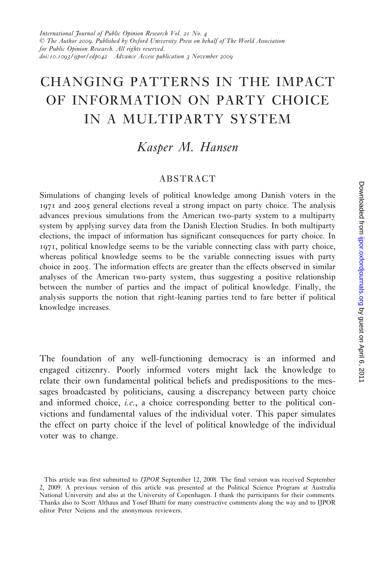# CHANGING PATTERNS IN THE IMPACT OF INFORMATION ON PARTY CHOICE IN A MULTIPARTY SYSTEM

# Kasper M. Hansen

## ABSTRACT

Simulations of changing levels of political knowledge among Danish voters in the 1971 and 2005 general elections reveal a strong impact on party choice. The analysis advances previous simulations from the American two-party system to a multiparty system by applying survey data from the Danish Election Studies. In both multiparty elections, the impact of information has significant consequences for party choice. In 1971, political knowledge seems to be the variable connecting class with party choice, whereas political knowledge seems to be the variable connecting issues with party choice in 2005. The information effects are greater than the effects observed in similar analyses of the American two-party system, thus suggesting a positive relationship between the number of parties and the impact of political knowledge. Finally, the analysis supports the notion that right-leaning parties tend to fare better if political knowledge increases.

The foundation of any well-functioning democracy is an informed and engaged citizenry. Poorly informed voters might lack the knowledge to relate their own fundamental political beliefs and predispositions to the messages broadcasted by politicians, causing a discrepancy between party choice and informed choice, i.e., a choice corresponding better to the political convictions and fundamental values of the individual voter. This paper simulates the effect on party choice if the level of political knowledge of the individual voter was to change.

This article was first submitted to IIPOR September 12, 2008. The final version was received September 2, 2009. A previous version of this article was presented at the Political Science Program at Australia National University and also at the University of Copenhagen. I thank the participants for their comments. Thanks also to Scott Althaus and Yosef Bhatti for many constructive comments along the way and to IJPOR editor Peter Neijens and the anonymous reviewers.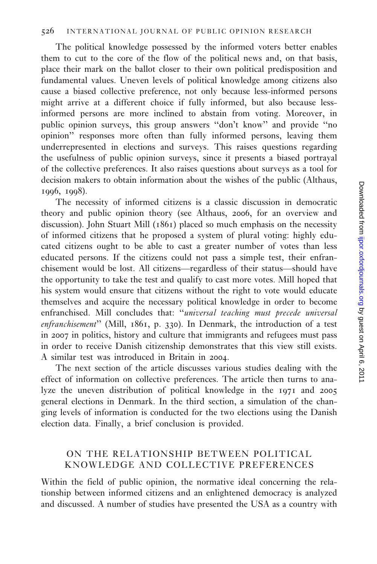The political knowledge possessed by the informed voters better enables them to cut to the core of the flow of the political news and, on that basis, place their mark on the ballot closer to their own political predisposition and fundamental values. Uneven levels of political knowledge among citizens also cause a biased collective preference, not only because less-informed persons might arrive at a different choice if fully informed, but also because lessinformed persons are more inclined to abstain from voting. Moreover, in public opinion surveys, this group answers ''don't know'' and provide ''no opinion'' responses more often than fully informed persons, leaving them underrepresented in elections and surveys. This raises questions regarding the usefulness of public opinion surveys, since it presents a biased portrayal of the collective preferences. It also raises questions about surveys as a tool for decision makers to obtain information about the wishes of the public (Althaus, 1996, 1998).

The necessity of informed citizens is a classic discussion in democratic theory and public opinion theory (see Althaus, 2006, for an overview and discussion). John Stuart Mill (1861) placed so much emphasis on the necessity of informed citizens that he proposed a system of plural voting: highly educated citizens ought to be able to cast a greater number of votes than less educated persons. If the citizens could not pass a simple test, their enfranchisement would be lost. All citizens—regardless of their status—should have the opportunity to take the test and qualify to cast more votes. Mill hoped that his system would ensure that citizens without the right to vote would educate themselves and acquire the necessary political knowledge in order to become enfranchised. Mill concludes that: ''universal teaching must precede universal enfranchisement'' (Mill, 1861, p. 330). In Denmark, the introduction of a test in 2007 in politics, history and culture that immigrants and refugees must pass in order to receive Danish citizenship demonstrates that this view still exists. A similar test was introduced in Britain in 2004.

The next section of the article discusses various studies dealing with the effect of information on collective preferences. The article then turns to analyze the uneven distribution of political knowledge in the 1971 and 2005 general elections in Denmark. In the third section, a simulation of the changing levels of information is conducted for the two elections using the Danish election data. Finally, a brief conclusion is provided.

# ON THE RELATIONSHIP BETWEEN POLITICAL KNOWLEDGE AND COLLECTIVE PREFERENCES

Within the field of public opinion, the normative ideal concerning the relationship between informed citizens and an enlightened democracy is analyzed and discussed. A number of studies have presented the USA as a country with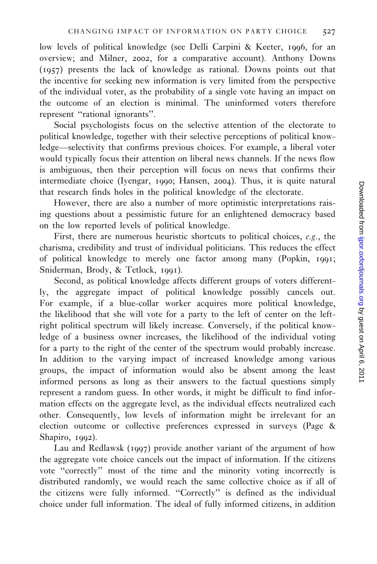low levels of political knowledge (see Delli Carpini & Keeter, 1996, for an overview; and Milner, 2002, for a comparative account). Anthony Downs (1957) presents the lack of knowledge as rational. Downs points out that the incentive for seeking new information is very limited from the perspective of the individual voter, as the probability of a single vote having an impact on the outcome of an election is minimal. The uninformed voters therefore represent ''rational ignorants''.

Social psychologists focus on the selective attention of the electorate to political knowledge, together with their selective perceptions of political knowledge—selectivity that confirms previous choices. For example, a liberal voter would typically focus their attention on liberal news channels. If the news flow is ambiguous, then their perception will focus on news that confirms their intermediate choice (Iyengar, 1990; Hansen, 2004). Thus, it is quite natural that research finds holes in the political knowledge of the electorate.

However, there are also a number of more optimistic interpretations raising questions about a pessimistic future for an enlightened democracy based on the low reported levels of political knowledge.

First, there are numerous heuristic shortcuts to political choices, e.g., the charisma, credibility and trust of individual politicians. This reduces the effect of political knowledge to merely one factor among many (Popkin, 1991; Sniderman, Brody, & Tetlock, 1991).

Second, as political knowledge affects different groups of voters differently, the aggregate impact of political knowledge possibly cancels out. For example, if a blue-collar worker acquires more political knowledge, the likelihood that she will vote for a party to the left of center on the leftright political spectrum will likely increase. Conversely, if the political knowledge of a business owner increases, the likelihood of the individual voting for a party to the right of the center of the spectrum would probably increase. In addition to the varying impact of increased knowledge among various groups, the impact of information would also be absent among the least informed persons as long as their answers to the factual questions simply represent a random guess. In other words, it might be difficult to find information effects on the aggregate level, as the individual effects neutralized each other. Consequently, low levels of information might be irrelevant for an election outcome or collective preferences expressed in surveys (Page & Shapiro, 1992).

Lau and Redlawsk (1997) provide another variant of the argument of how the aggregate vote choice cancels out the impact of information. If the citizens vote ''correctly'' most of the time and the minority voting incorrectly is distributed randomly, we would reach the same collective choice as if all of the citizens were fully informed. ''Correctly'' is defined as the individual choice under full information. The ideal of fully informed citizens, in addition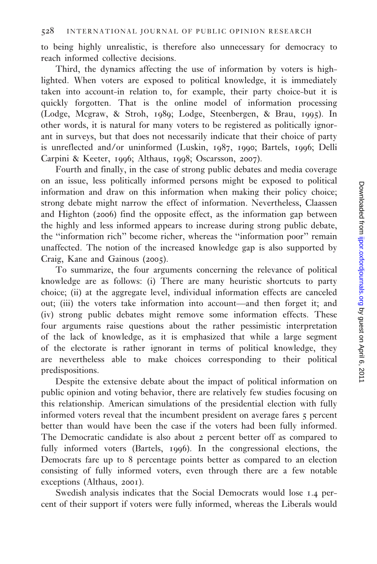to being highly unrealistic, is therefore also unnecessary for democracy to reach informed collective decisions.

Third, the dynamics affecting the use of information by voters is highlighted. When voters are exposed to political knowledge, it is immediately taken into account-in relation to, for example, their party choice-but it is quickly forgotten. That is the online model of information processing (Lodge, Mcgraw, & Stroh, 1989; Lodge, Steenbergen, & Brau, 1995). In other words, it is natural for many voters to be registered as politically ignorant in surveys, but that does not necessarily indicate that their choice of party is unreflected and/or uninformed (Luskin, 1987, 1990; Bartels, 1996; Delli Carpini & Keeter, 1996; Althaus, 1998; Oscarsson, 2007).

Fourth and finally, in the case of strong public debates and media coverage on an issue, less politically informed persons might be exposed to political information and draw on this information when making their policy choice; strong debate might narrow the effect of information. Nevertheless, Claassen and Highton (2006) find the opposite effect, as the information gap between the highly and less informed appears to increase during strong public debate, the ''information rich'' become richer, whereas the ''information poor'' remain unaffected. The notion of the increased knowledge gap is also supported by Craig, Kane and Gainous (2005).

To summarize, the four arguments concerning the relevance of political knowledge are as follows: (i) There are many heuristic shortcuts to party choice; (ii) at the aggregate level, individual information effects are canceled out; (iii) the voters take information into account—and then forget it; and (iv) strong public debates might remove some information effects. These four arguments raise questions about the rather pessimistic interpretation of the lack of knowledge, as it is emphasized that while a large segment of the electorate is rather ignorant in terms of political knowledge, they are nevertheless able to make choices corresponding to their political predispositions.

Despite the extensive debate about the impact of political information on public opinion and voting behavior, there are relatively few studies focusing on this relationship. American simulations of the presidential election with fully informed voters reveal that the incumbent president on average fares 5 percent better than would have been the case if the voters had been fully informed. The Democratic candidate is also about 2 percent better off as compared to fully informed voters (Bartels, 1996). In the congressional elections, the Democrats fare up to 8 percentage points better as compared to an election consisting of fully informed voters, even through there are a few notable exceptions (Althaus, 2001).

Swedish analysis indicates that the Social Democrats would lose 1.4 percent of their support if voters were fully informed, whereas the Liberals would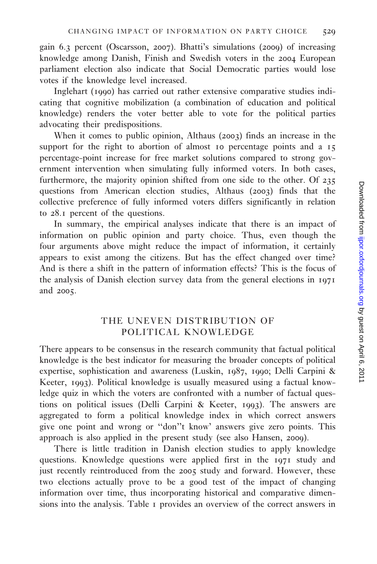gain 6.3 percent (Oscarsson, 2007). Bhatti's simulations (2009) of increasing knowledge among Danish, Finish and Swedish voters in the 2004 European parliament election also indicate that Social Democratic parties would lose votes if the knowledge level increased.

Inglehart (1990) has carried out rather extensive comparative studies indicating that cognitive mobilization (a combination of education and political knowledge) renders the voter better able to vote for the political parties advocating their predispositions.

When it comes to public opinion, Althaus (2003) finds an increase in the support for the right to abortion of almost 10 percentage points and a 15 percentage-point increase for free market solutions compared to strong government intervention when simulating fully informed voters. In both cases, furthermore, the majority opinion shifted from one side to the other. Of 235 questions from American election studies, Althaus (2003) finds that the collective preference of fully informed voters differs significantly in relation to 28.1 percent of the questions.

In summary, the empirical analyses indicate that there is an impact of information on public opinion and party choice. Thus, even though the four arguments above might reduce the impact of information, it certainly appears to exist among the citizens. But has the effect changed over time? And is there a shift in the pattern of information effects? This is the focus of the analysis of Danish election survey data from the general elections in 1971 and 2005.

# THE UNEVEN DISTRIBUTION OF POLITICAL KNOWLEDGE

There appears to be consensus in the research community that factual political knowledge is the best indicator for measuring the broader concepts of political expertise, sophistication and awareness (Luskin, 1987, 1990; Delli Carpini & Keeter, 1993). Political knowledge is usually measured using a factual knowledge quiz in which the voters are confronted with a number of factual questions on political issues (Delli Carpini & Keeter, 1993). The answers are aggregated to form a political knowledge index in which correct answers give one point and wrong or ''don''t know' answers give zero points. This approach is also applied in the present study (see also Hansen, 2009).

There is little tradition in Danish election studies to apply knowledge questions. Knowledge questions were applied first in the 1971 study and just recently reintroduced from the 2005 study and forward. However, these two elections actually prove to be a good test of the impact of changing information over time, thus incorporating historical and comparative dimensions into the analysis. Table 1 provides an overview of the correct answers in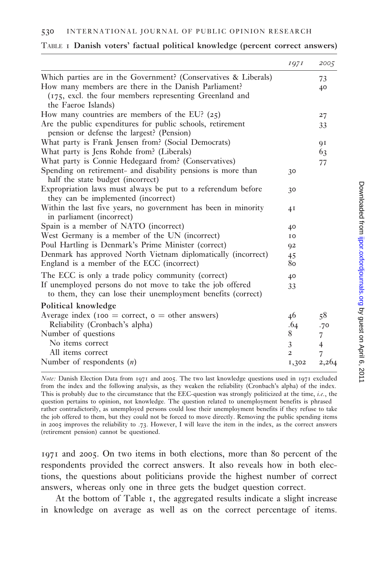|                                                                                | 1971           | 2005           |
|--------------------------------------------------------------------------------|----------------|----------------|
| Which parties are in the Government? (Conservatives & Liberals)                |                | 73             |
| How many members are there in the Danish Parliament?                           |                | 40             |
| (175, excl. the four members representing Greenland and<br>the Faeroe Islands) |                |                |
| How many countries are members of the EU? $(25)$                               |                | 27             |
| Are the public expenditures for public schools, retirement                     |                | 33             |
| pension or defense the largest? (Pension)                                      |                |                |
| What party is Frank Jensen from? (Social Democrats)                            |                | QI             |
| What party is Jens Rohde from? (Liberals)                                      |                | 63             |
| What party is Connie Hedegaard from? (Conservatives)                           |                | 77             |
| Spending on retirement- and disability pensions is more than                   | 30             |                |
| half the state budget (incorrect)                                              |                |                |
| Expropriation laws must always be put to a referendum before                   | 30             |                |
| they can be implemented (incorrect)                                            |                |                |
| Within the last five years, no government has been in minority                 | 4I             |                |
| in parliament (incorrect)                                                      |                |                |
| Spain is a member of NATO (incorrect)                                          | 40             |                |
| West Germany is a member of the UN (incorrect)                                 | 10             |                |
| Poul Hartling is Denmark's Prime Minister (correct)                            | 92             |                |
| Denmark has approved North Vietnam diplomatically (incorrect)                  | 45             |                |
| England is a member of the ECC (incorrect)                                     | 80             |                |
| The ECC is only a trade policy community (correct)                             | 40             |                |
| If unemployed persons do not move to take the job offered                      | 33             |                |
| to them, they can lose their unemployment benefits (correct)                   |                |                |
| Political knowledge                                                            |                |                |
| Average index (100 = correct, $o =$ other answers)                             | 46             | 58             |
| Reliability (Cronbach's alpha)                                                 | .64            | .70            |
| Number of questions                                                            | 8              | $\overline{7}$ |
| No items correct                                                               | 3              | $\overline{4}$ |
| All items correct                                                              | $\overline{2}$ | $\overline{7}$ |
| Number of respondents $(n)$                                                    | 1,302          | 2,264          |

| TABLE I Danish voters' factual political knowledge (percent correct answers) |  |  |  |
|------------------------------------------------------------------------------|--|--|--|
|------------------------------------------------------------------------------|--|--|--|

*Note:* Danish Election Data from 1971 and 2005. The two last knowledge questions used in 1971 excluded from the index and the following analysis, as they weaken the reliability (Cronbach's alpha) of the index. This is probably due to the circumstance that the EEC-question was strongly politicized at the time, i.e., the question pertains to opinion, not knowledge. The question related to unemployment benefits is phrased rather contradictorily, as unemployed persons could lose their unemployment benefits if they refuse to take the job offered to them, but they could not be forced to move directly. Removing the public spending items in 2005 improves the reliability to .73. However, I will leave the item in the index, as the correct answers (retirement pension) cannot be questioned.

1971 and 2005. On two items in both elections, more than 80 percent of the respondents provided the correct answers. It also reveals how in both elections, the questions about politicians provide the highest number of correct answers, whereas only one in three gets the budget question correct.

At the bottom of Table 1, the aggregated results indicate a slight increase in knowledge on average as well as on the correct percentage of items.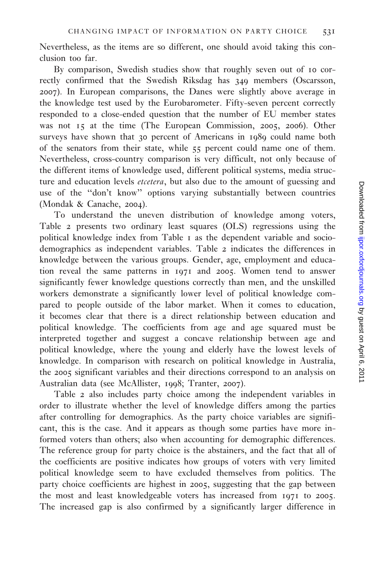Nevertheless, as the items are so different, one should avoid taking this conclusion too far.

By comparison, Swedish studies show that roughly seven out of 10 correctly confirmed that the Swedish Riksdag has 349 members (Oscarsson, 2007). In European comparisons, the Danes were slightly above average in the knowledge test used by the Eurobarometer. Fifty-seven percent correctly responded to a close-ended question that the number of EU member states was not 15 at the time (The European Commission, 2005, 2006). Other surveys have shown that 30 percent of Americans in 1989 could name both of the senators from their state, while 55 percent could name one of them. Nevertheless, cross-country comparison is very difficult, not only because of the different items of knowledge used, different political systems, media structure and education levels etcetera, but also due to the amount of guessing and use of the ''don't know'' options varying substantially between countries (Mondak & Canache, 2004).

To understand the uneven distribution of knowledge among voters, Table 2 presents two ordinary least squares (OLS) regressions using the political knowledge index from Table 1 as the dependent variable and sociodemographics as independent variables. Table 2 indicates the differences in knowledge between the various groups. Gender, age, employment and education reveal the same patterns in 1971 and 2005. Women tend to answer significantly fewer knowledge questions correctly than men, and the unskilled workers demonstrate a significantly lower level of political knowledge compared to people outside of the labor market. When it comes to education, it becomes clear that there is a direct relationship between education and political knowledge. The coefficients from age and age squared must be interpreted together and suggest a concave relationship between age and political knowledge, where the young and elderly have the lowest levels of knowledge. In comparison with research on political knowledge in Australia, the 2005 significant variables and their directions correspond to an analysis on Australian data (see McAllister, 1998; Tranter, 2007).

Table 2 also includes party choice among the independent variables in order to illustrate whether the level of knowledge differs among the parties after controlling for demographics. As the party choice variables are significant, this is the case. And it appears as though some parties have more informed voters than others; also when accounting for demographic differences. The reference group for party choice is the abstainers, and the fact that all of the coefficients are positive indicates how groups of voters with very limited political knowledge seem to have excluded themselves from politics. The party choice coefficients are highest in 2005, suggesting that the gap between the most and least knowledgeable voters has increased from 1971 to 2005. The increased gap is also confirmed by a significantly larger difference in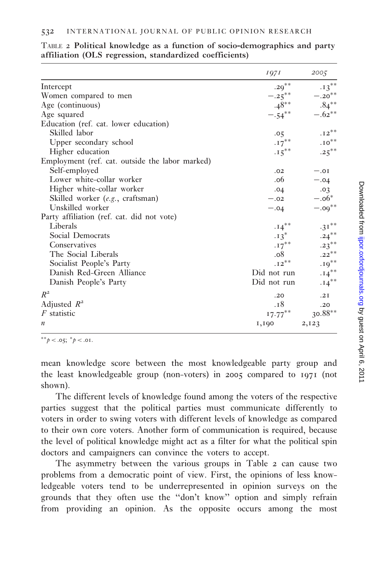|                                                 | 1971             | 2005                       |
|-------------------------------------------------|------------------|----------------------------|
| Intercept                                       | $.29^{\ast\ast}$ | $\cdot {\bf 13}^{**}$      |
| Women compared to men                           | $-.25***$        | $-.20^{**}$                |
| Age (continuous)                                | $.48**$          | $.84***$                   |
| Age squared                                     | $-.54***$        | $-.62**$                   |
| Education (ref. cat. lower education)           |                  |                            |
| Skilled labor                                   | .05              | $.12^{**}$                 |
| Upper secondary school                          | $.17***$         | $.10^{**}$                 |
| Higher education                                | $.15***$         | $.25***$                   |
| Employment (ref. cat. outside the labor marked) |                  |                            |
| Self-employed                                   | .02              | $-.01$                     |
| Lower white-collar worker                       | .06              | $-.04$                     |
| Higher white-collar worker                      | .04              | .03                        |
| Skilled worker (e.g., craftsman)                | $-.02$           | $-.06*$                    |
| Unskilled worker                                | $-.04$           | $-.00$ <sup>**</sup>       |
| Party affiliation (ref. cat. did not vote)      |                  |                            |
| Liberals                                        | $.14***$         | $\cdot 3^{\,1^{\ast\ast}}$ |
| Social Democrats                                | $.13*$           | $.24***$                   |
| Conservatives                                   | $.17***$         | $.23***$                   |
| The Social Liberals                             | .08              | $.22***$                   |
| Socialist People's Party                        | $.12***$         | $.19$ $^{**}$              |
| Danish Red-Green Alliance                       | Did not run      | $.14***$                   |
| Danish People's Party                           | Did not run      | $.14***$                   |
| $R^2$                                           | .20              | .2I                        |
| Adjusted $R^2$                                  | .18              | .20                        |
| $F$ statistic                                   | $17.77***$       | $30.88**$                  |
| n                                               | 1,100            | 2,123                      |
|                                                 |                  |                            |

|  | TABLE 2 Political knowledge as a function of socio-demographics and party |  |  |  |  |
|--|---------------------------------------------------------------------------|--|--|--|--|
|  | affiliation (OLS regression, standardized coefficients)                   |  |  |  |  |

\*\* $p < .05$ ; \* $p < .01$ .

mean knowledge score between the most knowledgeable party group and the least knowledgeable group (non-voters) in 2005 compared to 1971 (not shown).

The different levels of knowledge found among the voters of the respective parties suggest that the political parties must communicate differently to voters in order to swing voters with different levels of knowledge as compared to their own core voters. Another form of communication is required, because the level of political knowledge might act as a filter for what the political spin doctors and campaigners can convince the voters to accept.

The asymmetry between the various groups in Table 2 can cause two problems from a democratic point of view. First, the opinions of less knowledgeable voters tend to be underrepresented in opinion surveys on the grounds that they often use the ''don't know'' option and simply refrain from providing an opinion. As the opposite occurs among the most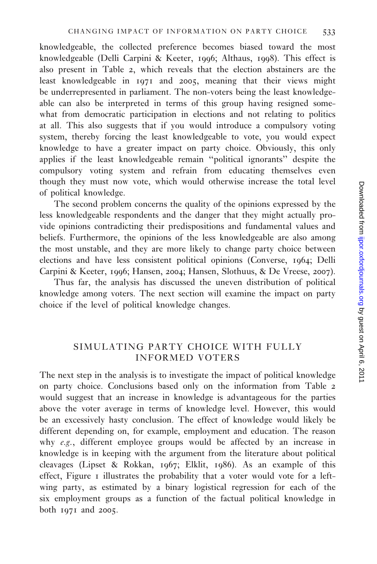knowledgeable, the collected preference becomes biased toward the most knowledgeable (Delli Carpini & Keeter, 1996; Althaus, 1998). This effect is also present in Table 2, which reveals that the election abstainers are the least knowledgeable in 1971 and 2005, meaning that their views might be underrepresented in parliament. The non-voters being the least knowledgeable can also be interpreted in terms of this group having resigned somewhat from democratic participation in elections and not relating to politics at all. This also suggests that if you would introduce a compulsory voting system, thereby forcing the least knowledgeable to vote, you would expect knowledge to have a greater impact on party choice. Obviously, this only applies if the least knowledgeable remain ''political ignorants'' despite the compulsory voting system and refrain from educating themselves even though they must now vote, which would otherwise increase the total level of political knowledge.

The second problem concerns the quality of the opinions expressed by the less knowledgeable respondents and the danger that they might actually provide opinions contradicting their predispositions and fundamental values and beliefs. Furthermore, the opinions of the less knowledgeable are also among the most unstable, and they are more likely to change party choice between elections and have less consistent political opinions (Converse, 1964; Delli Carpini & Keeter, 1996; Hansen, 2004; Hansen, Slothuus, & De Vreese, 2007).

Thus far, the analysis has discussed the uneven distribution of political knowledge among voters. The next section will examine the impact on party choice if the level of political knowledge changes.

# SIMULATING PARTY CHOICE WITH FULLY INFORMED VOTERS

The next step in the analysis is to investigate the impact of political knowledge on party choice. Conclusions based only on the information from Table 2 would suggest that an increase in knowledge is advantageous for the parties above the voter average in terms of knowledge level. However, this would be an excessively hasty conclusion. The effect of knowledge would likely be different depending on, for example, employment and education. The reason why e.g., different employee groups would be affected by an increase in knowledge is in keeping with the argument from the literature about political cleavages (Lipset & Rokkan, 1967; Elklit, 1986). As an example of this effect, Figure 1 illustrates the probability that a voter would vote for a leftwing party, as estimated by a binary logistical regression for each of the six employment groups as a function of the factual political knowledge in both 1971 and 2005.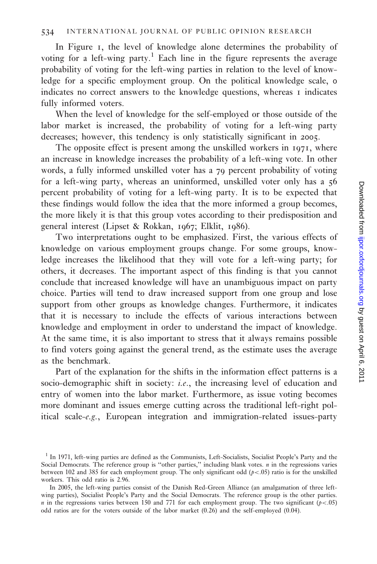In Figure 1, the level of knowledge alone determines the probability of voting for a left-wing party.<sup>1</sup> Each line in the figure represents the average probability of voting for the left-wing parties in relation to the level of knowledge for a specific employment group. On the political knowledge scale, o indicates no correct answers to the knowledge questions, whereas 1 indicates fully informed voters.

When the level of knowledge for the self-employed or those outside of the labor market is increased, the probability of voting for a left-wing party decreases; however, this tendency is only statistically significant in 2005.

The opposite effect is present among the unskilled workers in 1971, where an increase in knowledge increases the probability of a left-wing vote. In other words, a fully informed unskilled voter has a 79 percent probability of voting for a left-wing party, whereas an uninformed, unskilled voter only has a 56 percent probability of voting for a left-wing party. It is to be expected that these findings would follow the idea that the more informed a group becomes, the more likely it is that this group votes according to their predisposition and general interest (Lipset & Rokkan, 1967; Elklit, 1986).

Two interpretations ought to be emphasized. First, the various effects of knowledge on various employment groups change. For some groups, knowledge increases the likelihood that they will vote for a left-wing party; for others, it decreases. The important aspect of this finding is that you cannot conclude that increased knowledge will have an unambiguous impact on party choice. Parties will tend to draw increased support from one group and lose support from other groups as knowledge changes. Furthermore, it indicates that it is necessary to include the effects of various interactions between knowledge and employment in order to understand the impact of knowledge. At the same time, it is also important to stress that it always remains possible to find voters going against the general trend, as the estimate uses the average as the benchmark.

Part of the explanation for the shifts in the information effect patterns is a socio-demographic shift in society: *i.e.*, the increasing level of education and entry of women into the labor market. Furthermore, as issue voting becomes more dominant and issues emerge cutting across the traditional left-right political scale-e.g., European integration and immigration-related issues-party

<sup>&</sup>lt;sup>1</sup> In 1971, left-wing parties are defined as the Communists, Left-Socialists, Socialist People's Party and the Social Democrats. The reference group is "other parties," including blank votes.  $n$  in the regressions varies between 102 and 385 for each employment group. The only significant odd  $(p<.05)$  ratio is for the unskilled workers. This odd ratio is 2.96.

In 2005, the left-wing parties consist of the Danish Red-Green Alliance (an amalgamation of three leftwing parties), Socialist People's Party and the Social Democrats. The reference group is the other parties. n in the regressions varies between 150 and 771 for each employment group. The two significant  $(p<.05)$ odd ratios are for the voters outside of the labor market (0.26) and the self-employed (0.04).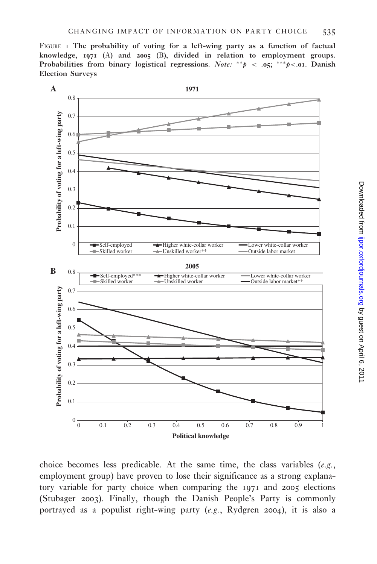FIGURE 1 The probability of voting for a left-wing party as a function of factual knowledge, 1971 (A) and 2005 (B), divided in relation to employment groups. Probabilities from binary logistical regressions. Note: \*\*  $p < .05$ ; \*\*\*  $p < .01$ . Danish Election Surveys



choice becomes less predicable. At the same time, the class variables  $(e.g.,)$ employment group) have proven to lose their significance as a strong explanatory variable for party choice when comparing the 1971 and 2005 elections (Stubager 2003). Finally, though the Danish People's Party is commonly portrayed as a populist right-wing party (e.g., Rydgren 2004), it is also a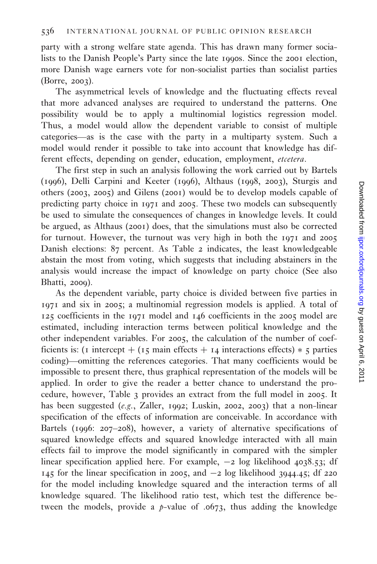party with a strong welfare state agenda. This has drawn many former socialists to the Danish People's Party since the late 1990s. Since the 2001 election, more Danish wage earners vote for non-socialist parties than socialist parties (Borre, 2003).

The asymmetrical levels of knowledge and the fluctuating effects reveal that more advanced analyses are required to understand the patterns. One possibility would be to apply a multinomial logistics regression model. Thus, a model would allow the dependent variable to consist of multiple categories—as is the case with the party in a multiparty system. Such a model would render it possible to take into account that knowledge has different effects, depending on gender, education, employment, etcetera.

The first step in such an analysis following the work carried out by Bartels (1996), Delli Carpini and Keeter (1996), Althaus (1998, 2003), Sturgis and others (2003, 2005) and Gilens (2001) would be to develop models capable of predicting party choice in 1971 and 2005. These two models can subsequently be used to simulate the consequences of changes in knowledge levels. It could be argued, as Althaus (2001) does, that the simulations must also be corrected for turnout. However, the turnout was very high in both the 1971 and 2005 Danish elections: 87 percent. As Table 2 indicates, the least knowledgeable abstain the most from voting, which suggests that including abstainers in the analysis would increase the impact of knowledge on party choice (See also Bhatti, 2009).

As the dependent variable, party choice is divided between five parties in 1971 and six in 2005; a multinomial regression models is applied. A total of 125 coefficients in the 1971 model and 146 coefficients in the 2005 model are estimated, including interaction terms between political knowledge and the other independent variables. For 2005, the calculation of the number of coefficients is: (1 intercept  $+$  (15 main effects  $+$  14 interactions effects)  $*$  5 parties coding)—omitting the references categories. That many coefficients would be impossible to present there, thus graphical representation of the models will be applied. In order to give the reader a better chance to understand the procedure, however, Table 3 provides an extract from the full model in 2005. It has been suggested (e.g., Zaller, 1992; Luskin, 2002, 2003) that a non-linear specification of the effects of information are conceivable. In accordance with Bartels (1996: 207–208), however, a variety of alternative specifications of squared knowledge effects and squared knowledge interacted with all main effects fail to improve the model significantly in compared with the simpler linear specification applied here. For example,  $-2$  log likelihood 4038.53; df 145 for the linear specification in 2005, and  $-2$  log likelihood 3944.45; df 220 for the model including knowledge squared and the interaction terms of all knowledge squared. The likelihood ratio test, which test the difference between the models, provide a  $p$ -value of .0673, thus adding the knowledge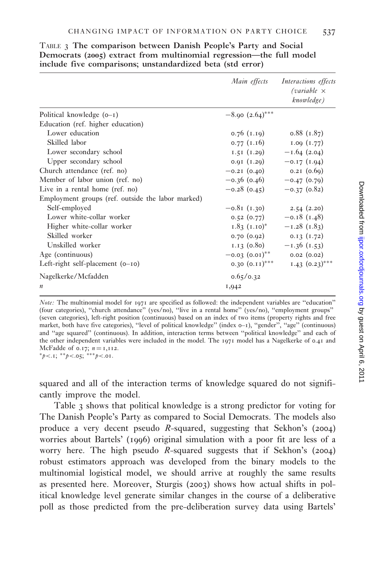|                                                   |                                              | Main effects Interactions effects<br>$(variable \times$<br>knowledge) |
|---------------------------------------------------|----------------------------------------------|-----------------------------------------------------------------------|
| Political knowledge $(0-I)$                       | $-8.90~(2.64)$ ***                           |                                                                       |
| Education (ref. higher education)                 |                                              |                                                                       |
| Lower education                                   | $0.76$ (1.19)                                | $0.88$ (1.87)                                                         |
| Skilled labor                                     | 0.77(1.16)                                   | 1.09(1.77)                                                            |
| Lower secondary school                            | $I.5I (I.29) -I.64 (2.04)$                   |                                                                       |
| Upper secondary school                            | 0.91 $(1.29)$ -0.17 $(1.94)$                 |                                                                       |
| Church attendance (ref. no)                       | $-0.21(0.40)$                                | 0.21(0.69)                                                            |
| Member of labor union (ref. no)                   | $-0.36$ (0.46) $-0.47$ (0.79)                |                                                                       |
| Live in a rental home (ref. no)                   | $-0.28$ (0.45)                               | $-0.37(0.82)$                                                         |
| Employment groups (ref. outside the labor marked) |                                              |                                                                       |
| Self-employed                                     | $-0.81$ (1.30)                               | 2.54(2.20)                                                            |
| Lower white-collar worker                         | $0.52(0.77)$ -0.18 (1.48)                    |                                                                       |
| Higher white-collar worker                        | $1.83$ $(1.10)^*$ $-1.28$ $(1.83)$           |                                                                       |
| Skilled worker                                    | $0.70(0.02)$ $0.13(1.72)$                    |                                                                       |
| Unskilled worker                                  |                                              | $1.13(0.80) -1.36(1.53)$                                              |
| Age (continuous)                                  | $-0.03$ $(0.01)$ <sup>**</sup> 0.02 $(0.02)$ |                                                                       |
| Left-right self-placement $(0-I0)$                | $0.30(0.11)$ ***                             | $1.43$ $(0.23)$ ***                                                   |
| Nagelkerke/Mcfadden                               | 0.65/0.32                                    |                                                                       |
| $\boldsymbol{n}$                                  | 1,942                                        |                                                                       |

TABLE 3 The comparison between Danish People's Party and Social Democrats (2005) extract from multinomial regression—the full model include five comparisons; unstandardized beta (std error)

*Note:* The multinomial model for  $1971$  are specified as followed: the independent variables are "education" (four categories), ''church attendance'' (yes/no), ''live in a rental home'' (yes/no), ''employment groups'' (seven categories), left-right position (continuous) based on an index of two items (property rights and free market, both have five categories), "level of political knowledge" (index 0-1), "gender", "age" (continuous) and ''age squared'' (continuous). In addition, interaction terms between ''political knowledge'' and each of the other independent variables were included in the model. The 1971 model has a Nagelkerke of 0.41 and McFadde of 0.17;  $n = 1,112$ .  $p<$ .1; \*\* $p<$ .05; \*\*\* $p<$ .01.

squared and all of the interaction terms of knowledge squared do not significantly improve the model.

Table 3 shows that political knowledge is a strong predictor for voting for The Danish People's Party as compared to Social Democrats. The models also produce a very decent pseudo R-squared, suggesting that Sekhon's (2004) worries about Bartels' (1996) original simulation with a poor fit are less of a worry here. The high pseudo  $R$ -squared suggests that if Sekhon's (2004) robust estimators approach was developed from the binary models to the multinomial logistical model, we should arrive at roughly the same results as presented here. Moreover, Sturgis (2003) shows how actual shifts in political knowledge level generate similar changes in the course of a deliberative poll as those predicted from the pre-deliberation survey data using Bartels'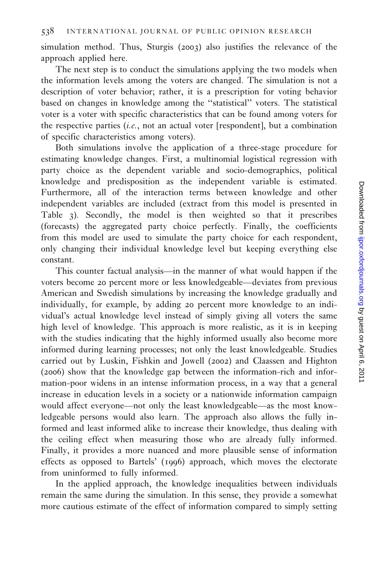simulation method. Thus, Sturgis (2003) also justifies the relevance of the approach applied here.

The next step is to conduct the simulations applying the two models when the information levels among the voters are changed. The simulation is not a description of voter behavior; rather, it is a prescription for voting behavior based on changes in knowledge among the ''statistical'' voters. The statistical voter is a voter with specific characteristics that can be found among voters for the respective parties  $(i.e., not an actual vote$  [respondent], but a combination of specific characteristics among voters).

Both simulations involve the application of a three-stage procedure for estimating knowledge changes. First, a multinomial logistical regression with party choice as the dependent variable and socio-demographics, political knowledge and predisposition as the independent variable is estimated. Furthermore, all of the interaction terms between knowledge and other independent variables are included (extract from this model is presented in Table 3). Secondly, the model is then weighted so that it prescribes (forecasts) the aggregated party choice perfectly. Finally, the coefficients from this model are used to simulate the party choice for each respondent, only changing their individual knowledge level but keeping everything else constant.

This counter factual analysis—in the manner of what would happen if the voters become 20 percent more or less knowledgeable—deviates from previous American and Swedish simulations by increasing the knowledge gradually and individually, for example, by adding 20 percent more knowledge to an individual's actual knowledge level instead of simply giving all voters the same high level of knowledge. This approach is more realistic, as it is in keeping with the studies indicating that the highly informed usually also become more informed during learning processes; not only the least knowledgeable. Studies carried out by Luskin, Fishkin and Jowell (2002) and Claassen and Highton (2006) show that the knowledge gap between the information-rich and information-poor widens in an intense information process, in a way that a general increase in education levels in a society or a nationwide information campaign would affect everyone—not only the least knowledgeable—as the most knowledgeable persons would also learn. The approach also allows the fully informed and least informed alike to increase their knowledge, thus dealing with the ceiling effect when measuring those who are already fully informed. Finally, it provides a more nuanced and more plausible sense of information effects as opposed to Bartels' (1996) approach, which moves the electorate from uninformed to fully informed.

In the applied approach, the knowledge inequalities between individuals remain the same during the simulation. In this sense, they provide a somewhat more cautious estimate of the effect of information compared to simply setting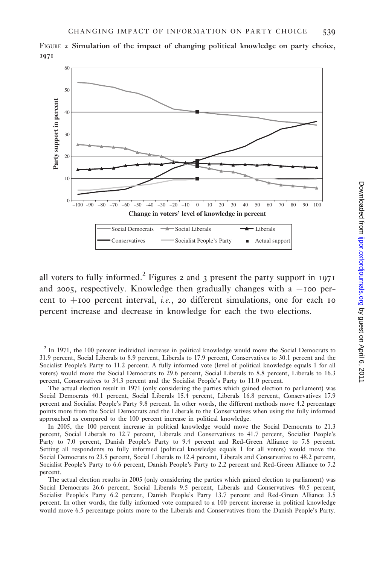FIGURE 2 Simulation of the impact of changing political knowledge on party choice, 1971



all voters to fully informed.<sup>2</sup> Figures 2 and 3 present the party support in  $1971$ and 2005, respectively. Knowledge then gradually changes with a  $-$ 100 percent to  $+$ 100 percent interval, *i.e.*, 20 different simulations, one for each 10 percent increase and decrease in knowledge for each the two elections.

 $2$  In 1971, the 100 percent individual increase in political knowledge would move the Social Democrats to 31.9 percent, Social Liberals to 8.9 percent, Liberals to 17.9 percent, Conservatives to 30.1 percent and the Socialist People's Party to 11.2 percent. A fully informed vote (level of political knowledge equals 1 for all voters) would move the Social Democrats to 29.6 percent, Social Liberals to 8.8 percent, Liberals to 16.3 percent, Conservatives to 34.3 percent and the Socialist People's Party to 11.0 percent.

The actual election result in 1971 (only considering the parties which gained election to parliament) was Social Democrats 40.1 percent, Social Liberals 15.4 percent, Liberals 16.8 percent, Conservatives 17.9 percent and Socialist People's Party 9.8 percent. In other words, the different methods move 4.2 percentage points more from the Social Democrats and the Liberals to the Conservatives when using the fully informed approached as compared to the 100 percent increase in political knowledge.

In 2005, the 100 percent increase in political knowledge would move the Social Democrats to 21.3 percent, Social Liberals to 12.7 percent, Liberals and Conservatives to 41.7 percent, Socialist People's Party to 7.0 percent, Danish People's Party to 9.4 percent and Red-Green Alliance to 7.8 percent. Setting all respondents to fully informed (political knowledge equals 1 for all voters) would move the Social Democrats to 23.5 percent, Social Liberals to 12.4 percent, Liberals and Conservative to 48.2 percent, Socialist People's Party to 6.6 percent, Danish People's Party to 2.2 percent and Red-Green Alliance to 7.2 percent.

The actual election results in 2005 (only considering the parties which gained election to parliament) was Social Democrats 26.6 percent, Social Liberals 9.5 percent, Liberals and Conservatives 40.5 percent, Socialist People's Party 6.2 percent, Danish People's Party 13.7 percent and Red-Green Alliance 3.5 percent. In other words, the fully informed vote compared to a 100 percent increase in political knowledge would move 6.5 percentage points more to the Liberals and Conservatives from the Danish People's Party.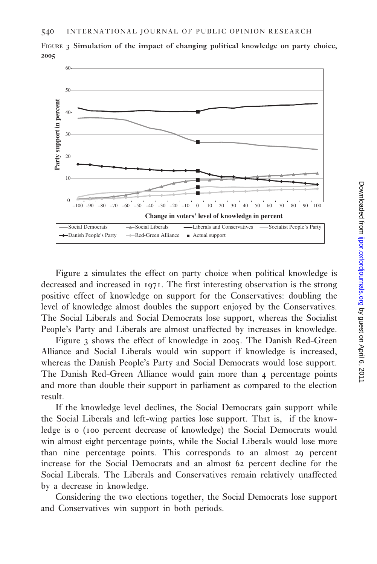FIGURE 3 Simulation of the impact of changing political knowledge on party choice, 2005



Figure 2 simulates the effect on party choice when political knowledge is decreased and increased in 1971. The first interesting observation is the strong positive effect of knowledge on support for the Conservatives: doubling the level of knowledge almost doubles the support enjoyed by the Conservatives. The Social Liberals and Social Democrats lose support, whereas the Socialist People's Party and Liberals are almost unaffected by increases in knowledge.

Figure 3 shows the effect of knowledge in 2005. The Danish Red-Green Alliance and Social Liberals would win support if knowledge is increased, whereas the Danish People's Party and Social Democrats would lose support. The Danish Red-Green Alliance would gain more than 4 percentage points and more than double their support in parliament as compared to the election result.

If the knowledge level declines, the Social Democrats gain support while the Social Liberals and left-wing parties lose support. That is, if the knowledge is 0 (100 percent decrease of knowledge) the Social Democrats would win almost eight percentage points, while the Social Liberals would lose more than nine percentage points. This corresponds to an almost 29 percent increase for the Social Democrats and an almost 62 percent decline for the Social Liberals. The Liberals and Conservatives remain relatively unaffected by a decrease in knowledge.

Considering the two elections together, the Social Democrats lose support and Conservatives win support in both periods.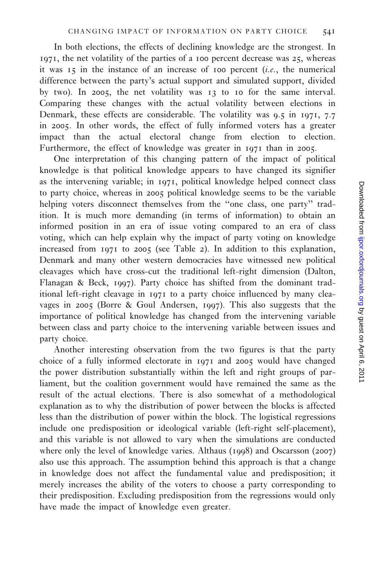In both elections, the effects of declining knowledge are the strongest. In 1971, the net volatility of the parties of a 100 percent decrease was 25, whereas it was  $15$  in the instance of an increase of 100 percent (*i.e.*, the numerical difference between the party's actual support and simulated support, divided by two). In 2005, the net volatility was 13 to 10 for the same interval. Comparing these changes with the actual volatility between elections in Denmark, these effects are considerable. The volatility was 9.5 in 1971, 7.7 in 2005. In other words, the effect of fully informed voters has a greater impact than the actual electoral change from election to election. Furthermore, the effect of knowledge was greater in 1971 than in 2005.

One interpretation of this changing pattern of the impact of political knowledge is that political knowledge appears to have changed its signifier as the intervening variable; in 1971, political knowledge helped connect class to party choice, whereas in 2005 political knowledge seems to be the variable helping voters disconnect themselves from the ''one class, one party'' tradition. It is much more demanding (in terms of information) to obtain an informed position in an era of issue voting compared to an era of class voting, which can help explain why the impact of party voting on knowledge increased from 1971 to 2005 (see Table 2). In addition to this explanation, Denmark and many other western democracies have witnessed new political cleavages which have cross-cut the traditional left-right dimension (Dalton, Flanagan & Beck, 1997). Party choice has shifted from the dominant traditional left-right cleavage in 1971 to a party choice influenced by many cleavages in 2005 (Borre & Goul Andersen, 1997). This also suggests that the importance of political knowledge has changed from the intervening variable between class and party choice to the intervening variable between issues and party choice.

Another interesting observation from the two figures is that the party choice of a fully informed electorate in 1971 and 2005 would have changed the power distribution substantially within the left and right groups of parliament, but the coalition government would have remained the same as the result of the actual elections. There is also somewhat of a methodological explanation as to why the distribution of power between the blocks is affected less than the distribution of power within the block. The logistical regressions include one predisposition or ideological variable (left-right self-placement), and this variable is not allowed to vary when the simulations are conducted where only the level of knowledge varies. Althaus (1998) and Oscarsson (2007) also use this approach. The assumption behind this approach is that a change in knowledge does not affect the fundamental value and predisposition; it merely increases the ability of the voters to choose a party corresponding to their predisposition. Excluding predisposition from the regressions would only have made the impact of knowledge even greater.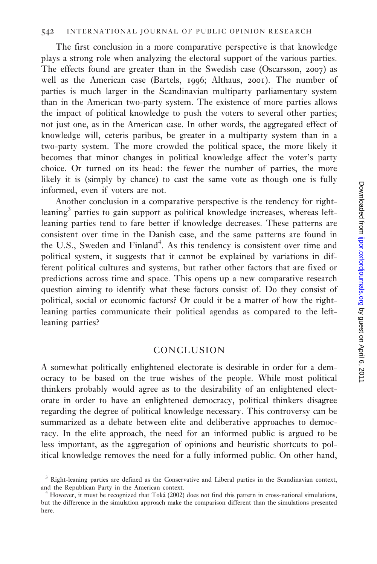The first conclusion in a more comparative perspective is that knowledge plays a strong role when analyzing the electoral support of the various parties. The effects found are greater than in the Swedish case (Oscarsson, 2007) as well as the American case (Bartels, 1996; Althaus, 2001). The number of parties is much larger in the Scandinavian multiparty parliamentary system than in the American two-party system. The existence of more parties allows the impact of political knowledge to push the voters to several other parties; not just one, as in the American case. In other words, the aggregated effect of knowledge will, ceteris paribus, be greater in a multiparty system than in a two-party system. The more crowded the political space, the more likely it becomes that minor changes in political knowledge affect the voter's party choice. Or turned on its head: the fewer the number of parties, the more likely it is (simply by chance) to cast the same vote as though one is fully informed, even if voters are not.

Another conclusion in a comparative perspective is the tendency for rightleaning $3$  parties to gain support as political knowledge increases, whereas leftleaning parties tend to fare better if knowledge decreases. These patterns are consistent over time in the Danish case, and the same patterns are found in the U.S., Sweden and Finland<sup>4</sup>. As this tendency is consistent over time and political system, it suggests that it cannot be explained by variations in different political cultures and systems, but rather other factors that are fixed or predictions across time and space. This opens up a new comparative research question aiming to identify what these factors consist of. Do they consist of political, social or economic factors? Or could it be a matter of how the rightleaning parties communicate their political agendas as compared to the leftleaning parties?

## **CONCLUSION**

A somewhat politically enlightened electorate is desirable in order for a democracy to be based on the true wishes of the people. While most political thinkers probably would agree as to the desirability of an enlightened electorate in order to have an enlightened democracy, political thinkers disagree regarding the degree of political knowledge necessary. This controversy can be summarized as a debate between elite and deliberative approaches to democracy. In the elite approach, the need for an informed public is argued to be less important, as the aggregation of opinions and heuristic shortcuts to political knowledge removes the need for a fully informed public. On other hand,

<sup>3</sup> Right-leaning parties are defined as the Conservative and Liberal parties in the Scandinavian context, and the Republican Party in the American context.

<sup>&</sup>lt;sup>4</sup> However, it must be recognized that Toka<sup>(2002</sup>) does not find this pattern in cross-national simulations, but the difference in the simulation approach make the comparison different than the simulations presented here.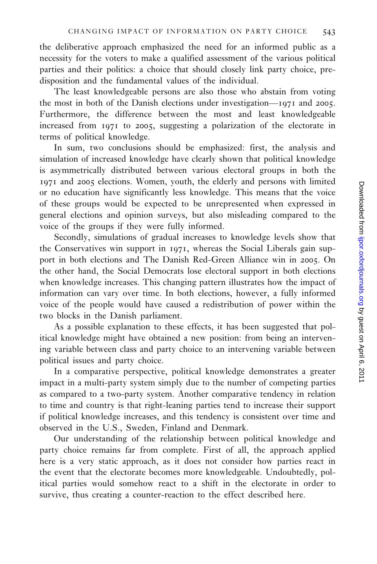the deliberative approach emphasized the need for an informed public as a necessity for the voters to make a qualified assessment of the various political parties and their politics: a choice that should closely link party choice, predisposition and the fundamental values of the individual.

The least knowledgeable persons are also those who abstain from voting the most in both of the Danish elections under investigation—1971 and 2005. Furthermore, the difference between the most and least knowledgeable increased from 1971 to 2005, suggesting a polarization of the electorate in terms of political knowledge.

In sum, two conclusions should be emphasized: first, the analysis and simulation of increased knowledge have clearly shown that political knowledge is asymmetrically distributed between various electoral groups in both the 1971 and 2005 elections. Women, youth, the elderly and persons with limited or no education have significantly less knowledge. This means that the voice of these groups would be expected to be unrepresented when expressed in general elections and opinion surveys, but also misleading compared to the voice of the groups if they were fully informed.

Secondly, simulations of gradual increases to knowledge levels show that the Conservatives win support in 1971, whereas the Social Liberals gain support in both elections and The Danish Red-Green Alliance win in 2005. On the other hand, the Social Democrats lose electoral support in both elections when knowledge increases. This changing pattern illustrates how the impact of information can vary over time. In both elections, however, a fully informed voice of the people would have caused a redistribution of power within the two blocks in the Danish parliament.

As a possible explanation to these effects, it has been suggested that political knowledge might have obtained a new position: from being an intervening variable between class and party choice to an intervening variable between political issues and party choice.

In a comparative perspective, political knowledge demonstrates a greater impact in a multi-party system simply due to the number of competing parties as compared to a two-party system. Another comparative tendency in relation to time and country is that right-leaning parties tend to increase their support if political knowledge increases, and this tendency is consistent over time and observed in the U.S., Sweden, Finland and Denmark.

Our understanding of the relationship between political knowledge and party choice remains far from complete. First of all, the approach applied here is a very static approach, as it does not consider how parties react in the event that the electorate becomes more knowledgeable. Undoubtedly, political parties would somehow react to a shift in the electorate in order to survive, thus creating a counter-reaction to the effect described here.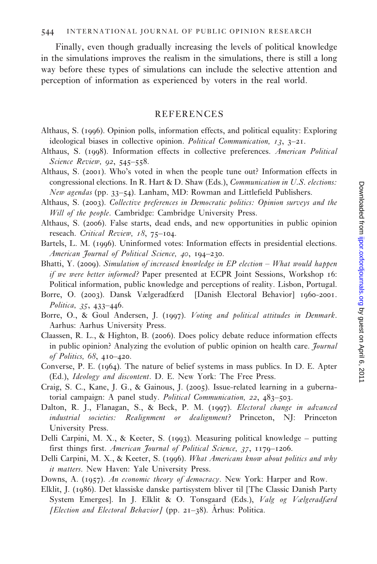Finally, even though gradually increasing the levels of political knowledge in the simulations improves the realism in the simulations, there is still a long way before these types of simulations can include the selective attention and perception of information as experienced by voters in the real world.

#### REFERENCES

- Althaus, S. (1996). Opinion polls, information effects, and political equality: Exploring ideological biases in collective opinion. Political Communication, 13, 3–21.
- Althaus, S. (1998). Information effects in collective preferences. American Political Science Review, 92, 545–558.
- Althaus, S. (2001). Who's voted in when the people tune out? Information effects in congressional elections. In R. Hart & D. Shaw (Eds.), Communication in U.S. elections: New agendas (pp. 33–54). Lanham, MD: Rowman and Littlefield Publishers.
- Althaus, S. (2003). Collective preferences in Democratic politics: Opinion surveys and the Will of the people. Cambridge: Cambridge University Press.
- Althaus, S. (2006). False starts, dead ends, and new opportunities in public opinion reseach. Critical Review, 18, 75–104.
- Bartels, L. M. (1996). Uninformed votes: Information effects in presidential elections. American Journal of Political Science, 40, 194–230.
- Bhatti, Y. (2009). Simulation of increased knowledge in  $EP$  election What would happen if we were better informed? Paper presented at ECPR Joint Sessions, Workshop 16: Political information, public knowledge and perceptions of reality. Lisbon, Portugal.
- Borre, O. (2003). Dansk Vælgeradfærd [Danish Electoral Behavior] 1960-2001. Politica, 35, 433–446.
- Borre, O., & Goul Andersen, J. (1997). Voting and political attitudes in Denmark. Aarhus: Aarhus University Press.
- Claassen, R. L., & Highton, B. (2006). Does policy debate reduce information effects in public opinion? Analyzing the evolution of public opinion on health care. *Journal* of Politics, 68, 410–420.
- Converse, P. E. (1964). The nature of belief systems in mass publics. In D. E. Apter (Ed.), Ideology and discontent. D. E. New York: The Free Press.
- Craig, S. C., Kane, J. G., & Gainous, J. (2005). Issue-related learning in a gubernatorial campaign: A panel study. Political Communication, 22, 483-503.
- Dalton, R. J., Flanagan, S., & Beck, P. M. (1997). Electoral change in advanced industrial societies: Realignment or dealignment? Princeton, NJ: Princeton University Press.
- Delli Carpini, M. X., & Keeter, S. (1993). Measuring political knowledge putting first things first. American Journal of Political Science, 37, 1179–1206.
- Delli Carpini, M. X., & Keeter, S. (1996). What Americans know about politics and why it matters. New Haven: Yale University Press.
- Downs, A. (1957). An economic theory of democracy. New York: Harper and Row.
- Elklit, J. (1986). Det klassiske danske partisystem bliver til [The Classic Danish Party System Emerges]. In J. Elklit & O. Tonsgaard (Eds.), Valg og Vælgeradfærd *[Election and Electoral Behavior]* (pp.  $2I-38$ ). Arhus: Politica.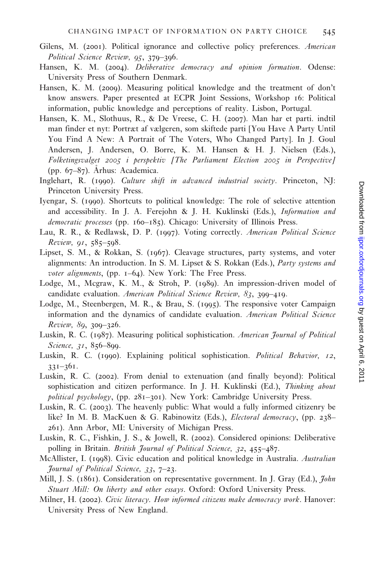- Gilens, M. (2001). Political ignorance and collective policy preferences. American Political Science Review, 95, 379–396.
- Hansen, K. M. (2004). *Deliberative democracy and opinion formation*. Odense: University Press of Southern Denmark.
- Hansen, K. M. (2009). Measuring political knowledge and the treatment of don't know answers. Paper presented at ECPR Joint Sessions, Workshop 16: Political information, public knowledge and perceptions of reality. Lisbon, Portugal.
- Hansen, K. M., Slothuus, R., & De Vreese, C. H. (2007). Man har et parti. indtil man finder et nyt: Portræt af vælgeren, som skiftede parti [You Have A Party Until You Find A New: A Portrait of The Voters, Who Changed Party]. In J. Goul Andersen, J. Andersen, O. Borre, K. M. Hansen & H. J. Nielsen (Eds.), Folketingsvalget 2005 i perspektiv [The Parliament Election 2005 in Perspective] (pp.  $67-87$ ). Arhus: Academica.
- Inglehart, R. (1990). Culture shift in advanced industrial society. Princeton, NJ: Princeton University Press.
- Iyengar, S. (1990). Shortcuts to political knowledge: The role of selective attention and accessibility. In J. A. Ferejohn & J. H. Kuklinski (Eds.), Information and democratic processes (pp. 160-185). Chicago: University of Illinois Press.
- Lau, R. R., & Redlawsk, D. P. (1997). Voting correctly. American Political Science  $Review, q1, 585-598.$
- Lipset, S. M., & Rokkan, S. (1967). Cleavage structures, party systems, and voter alignments: An introduction. In S. M. Lipset & S. Rokkan (Eds.), *Party systems and* voter alignments, (pp. 1–64). New York: The Free Press.
- Lodge, M., Mcgraw, K. M., & Stroh, P. (1989). An impression-driven model of candidate evaluation. American Political Science Review, 83, 399–419.
- Lodge, M., Steenbergen, M. R., & Brau, S. (1995). The responsive voter Campaign information and the dynamics of candidate evaluation. American Political Science Review, 89, 309–326.
- Luskin, R. C. (1987). Measuring political sophistication. American Journal of Political Science, 31, 856–899.
- Luskin, R. C. (1990). Explaining political sophistication. Political Behavior, 12, 331–361.
- Luskin, R. C. (2002). From denial to extenuation (and finally beyond): Political sophistication and citizen performance. In J. H. Kuklinski (Ed.), Thinking about political psychology, (pp. 281-301). New York: Cambridge University Press.
- Luskin, R. C. (2003). The heavenly public: What would a fully informed citizenry be like? In M. B. MacKuen & G. Rabinowitz (Eds.), Electoral democracy, (pp. 238-261). Ann Arbor, MI: University of Michigan Press.
- Luskin, R. C., Fishkin, J. S., & Jowell, R. (2002). Considered opinions: Deliberative polling in Britain. British Journal of Political Science, 32, 455–487.
- McAllister, I. (1998). Civic education and political knowledge in Australia. Australian Journal of Political Science, 33, 7–23.
- Mill, J. S. (1861). Consideration on representative government. In J. Gray (Ed.), John Stuart Mill: On liberty and other essays. Oxford: Oxford University Press.
- Milner, H. (2002). Civic literacy. How informed citizens make democracy work. Hanover: University Press of New England.